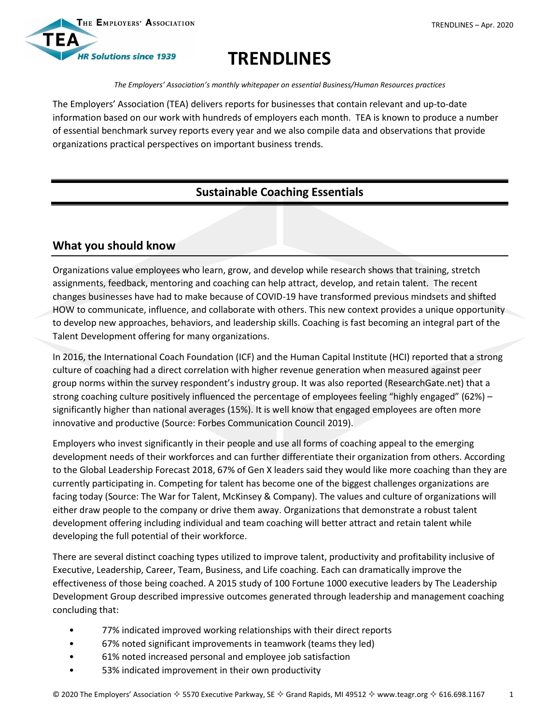

# **TRENDLINES**

*The Employers' Association's monthly whitepaper on essential Business/Human Resources practices*

The Employers' Association (TEA) delivers reports for businesses that contain relevant and up-to-date information based on our work with hundreds of employers each month. TEA is known to produce a number of essential benchmark survey reports every year and we also compile data and observations that provide organizations practical perspectives on important business trends.

## **Sustainable Coaching Essentials**

## **What you should know**

Organizations value employees who learn, grow, and develop while research shows that training, stretch assignments, feedback, mentoring and coaching can help attract, develop, and retain talent. The recent changes businesses have had to make because of COVID-19 have transformed previous mindsets and shifted HOW to communicate, influence, and collaborate with others. This new context provides a unique opportunity to develop new approaches, behaviors, and leadership skills. Coaching is fast becoming an integral part of the Talent Development offering for many organizations.

In 2016, the International Coach Foundation (ICF) and the Human Capital Institute (HCI) reported that a strong culture of coaching had a direct correlation with higher revenue generation when measured against peer group norms within the survey respondent's industry group. It was also reported (ResearchGate.net) that a strong coaching culture positively influenced the percentage of employees feeling "highly engaged" (62%) – significantly higher than national averages (15%). It is well know that engaged employees are often more innovative and productive (Source: Forbes Communication Council 2019).

Employers who invest significantly in their people and use all forms of coaching appeal to the emerging development needs of their workforces and can further differentiate their organization from others. According to the [Global Leadership Forecast 2018,](https://www.ddiworld.com/glf2018) 67% of Gen X leaders said they would like more coaching than they are currently participating in. Competing for talent has become one of the biggest challenges organizations are facing today (Source: The War for Talent, McKinsey & Company). The values and culture of organizations will either draw people to the company or drive them away. Organizations that demonstrate a robust talent development offering including individual and team coaching will better attract and retain talent while developing the full potential of their workforce.

There are several distinct coaching types utilized to improve talent, productivity and profitability inclusive of Executive, Leadership, Career, Team, Business, and Life coaching. Each can dramatically improve the effectiveness of those being coached. A 2015 study of 100 Fortune 1000 executive leaders by The Leadership Development Group described impressive outcomes generated through leadership and management coaching concluding that:

- 77% indicated improved working relationships with their direct reports
- 67% noted significant improvements in teamwork (teams they led)
- 61% noted increased personal and employee job satisfaction
- 53% indicated improvement in their own productivity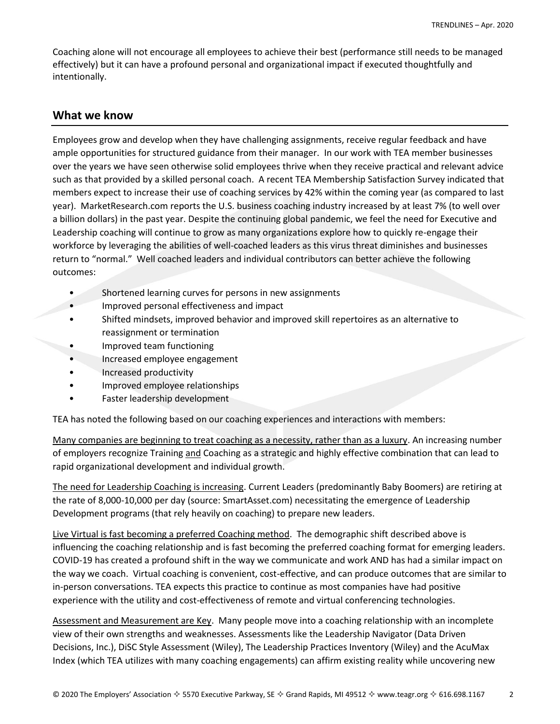Coaching alone will not encourage all employees to achieve their best (performance still needs to be managed effectively) but it can have a profound personal and organizational impact if executed thoughtfully and intentionally.

#### **What we know**

Employees grow and develop when they have challenging assignments, receive regular feedback and have ample opportunities for structured guidance from their manager. In our work with TEA member businesses over the years we have seen otherwise solid employees thrive when they receive practical and relevant advice such as that provided by a skilled personal coach. A recent TEA Membership Satisfaction Survey indicated that members expect to increase their use of coaching services by 42% within the coming year (as compared to last year). MarketResearch.com reports the U.S. business coaching industry increased by at least 7% (to well over a billion dollars) in the past year. Despite the continuing global pandemic, we feel the need for Executive and Leadership coaching will continue to grow as many organizations explore how to quickly re-engage their workforce by leveraging the abilities of well-coached leaders as this virus threat diminishes and businesses return to "normal." Well coached leaders and individual contributors can better achieve the following outcomes:

- Shortened learning curves for persons in new assignments
- Improved personal effectiveness and impact
- Shifted mindsets, improved behavior and improved skill repertoires as an alternative to reassignment or termination
- Improved team functioning
- Increased employee engagement
- Increased productivity
- Improved employee relationships
- Faster leadership development

TEA has noted the following based on our coaching experiences and interactions with members:

Many companies are beginning to treat coaching as a necessity, rather than as a luxury. An increasing number of employers recognize Training and Coaching as a strategic and highly effective combination that can lead to rapid organizational development and individual growth.

The need for Leadership Coaching is increasing. Current Leaders (predominantly Baby Boomers) are retiring at the rate of 8,000-10,000 per day (source: SmartAsset.com) necessitating the emergence of Leadership Development programs (that rely heavily on coaching) to prepare new leaders.

Live Virtual is fast becoming a preferred Coaching method. The demographic shift described above is influencing the coaching relationship and is fast becoming the preferred coaching format for emerging leaders. COVID-19 has created a profound shift in the way we communicate and work AND has had a similar impact on the way we coach. Virtual coaching is convenient, cost-effective, and can produce outcomes that are similar to in-person conversations. TEA expects this practice to continue as most companies have had positive experience with the utility and cost-effectiveness of remote and virtual conferencing technologies.

Assessment and Measurement are Key. Many people move into a coaching relationship with an incomplete view of their own strengths and weaknesses. Assessments like the Leadership Navigator (Data Driven Decisions, Inc.), DiSC Style Assessment (Wiley), The Leadership Practices Inventory (Wiley) and the AcuMax Index (which TEA utilizes with many coaching engagements) can affirm existing reality while uncovering new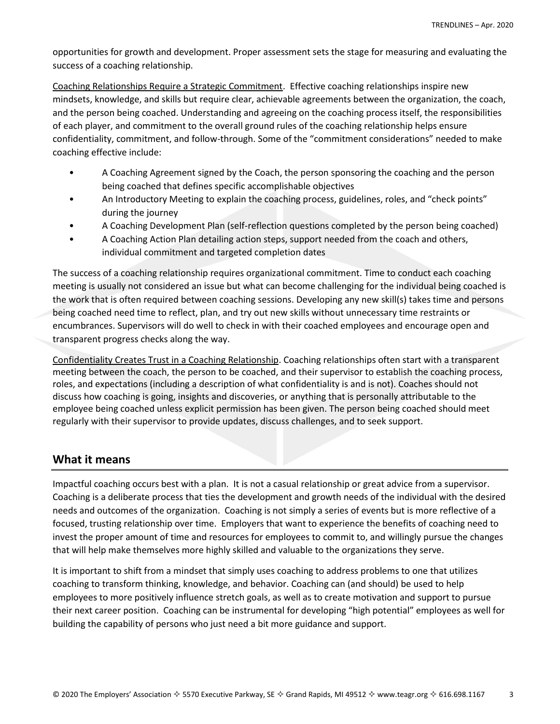opportunities for growth and development. Proper assessment sets the stage for measuring and evaluating the success of a coaching relationship.

Coaching Relationships Require a Strategic Commitment. Effective coaching relationships inspire new mindsets, knowledge, and skills but require clear, achievable agreements between the organization, the coach, and the person being coached. Understanding and agreeing on the coaching process itself, the responsibilities of each player, and commitment to the overall ground rules of the coaching relationship helps ensure confidentiality, commitment, and follow-through. Some of the "commitment considerations" needed to make coaching effective include:

- A Coaching Agreement signed by the Coach, the person sponsoring the coaching and the person being coached that defines specific accomplishable objectives
- An Introductory Meeting to explain the coaching process, guidelines, roles, and "check points" during the journey
- A Coaching Development Plan (self-reflection questions completed by the person being coached)
- A Coaching Action Plan detailing action steps, support needed from the coach and others, individual commitment and targeted completion dates

The success of a coaching relationship requires organizational commitment. Time to conduct each coaching meeting is usually not considered an issue but what can become challenging for the individual being coached is the work that is often required between coaching sessions. Developing any new skill(s) takes time and persons being coached need time to reflect, plan, and try out new skills without unnecessary time restraints or encumbrances. Supervisors will do well to check in with their coached employees and encourage open and transparent progress checks along the way.

Confidentiality Creates Trust in a Coaching Relationship. Coaching relationships often start with a transparent meeting between the coach, the person to be coached, and their supervisor to establish the coaching process, roles, and expectations (including a description of what confidentiality is and is not). Coaches should not discuss how coaching is going, insights and discoveries, or anything that is personally attributable to the employee being coached unless explicit permission has been given. The person being coached should meet regularly with their supervisor to provide updates, discuss challenges, and to seek support.

### **What it means**

Impactful coaching occurs best with a plan. It is not a casual relationship or great advice from a supervisor. Coaching is a deliberate process that ties the development and growth needs of the individual with the desired needs and outcomes of the organization. Coaching is not simply a series of events but is more reflective of a focused, trusting relationship over time. Employers that want to experience the benefits of coaching need to invest the proper amount of time and resources for employees to commit to, and willingly pursue the changes that will help make themselves more highly skilled and valuable to the organizations they serve.

It is important to shift from a mindset that simply uses coaching to address problems to one that utilizes coaching to transform thinking, knowledge, and behavior. Coaching can (and should) be used to help employees to more positively influence stretch goals, as well as to create motivation and support to pursue their next career position. Coaching can be instrumental for developing "high potential" employees as well for building the capability of persons who just need a bit more guidance and support.